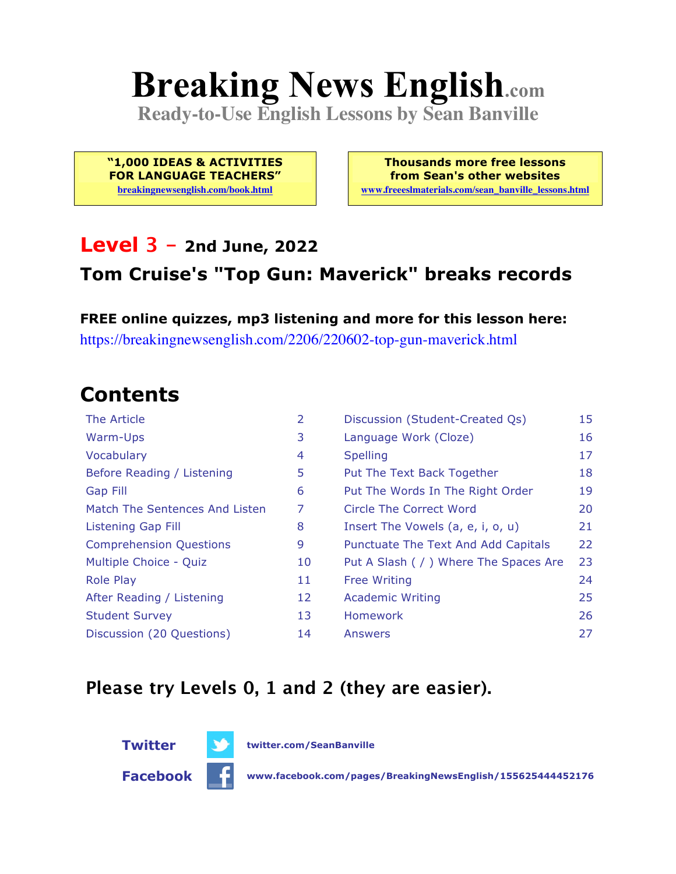# **Breaking News English.com**

**Ready-to-Use English Lessons by Sean Banville**

**"1,000 IDEAS & ACTIVITIES FOR LANGUAGE TEACHERS"**

**breakingnewsenglish.com/book.html**

**Thousands more free lessons from Sean's other websites www.freeeslmaterials.com/sean\_banville\_lessons.html**

#### **Level 3 - 2nd June, 2022**

#### **Tom Cruise's "Top Gun: Maverick" breaks records**

**FREE online quizzes, mp3 listening and more for this lesson here:** https://breakingnewsenglish.com/2206/220602-top-gun-maverick.html

### **Contents**

| The Article                    | 2  | Discussion (Student-Created Qs)        | 15 |
|--------------------------------|----|----------------------------------------|----|
| Warm-Ups                       | 3  | Language Work (Cloze)                  | 16 |
| Vocabulary                     | 4  | <b>Spelling</b>                        | 17 |
| Before Reading / Listening     | 5  | Put The Text Back Together             | 18 |
| <b>Gap Fill</b>                | 6  | Put The Words In The Right Order       | 19 |
| Match The Sentences And Listen | 7  | Circle The Correct Word                | 20 |
| Listening Gap Fill             | 8  | Insert The Vowels (a, e, i, o, u)      | 21 |
| <b>Comprehension Questions</b> | 9  | Punctuate The Text And Add Capitals    | 22 |
| Multiple Choice - Quiz         | 10 | Put A Slash ( / ) Where The Spaces Are | 23 |
| <b>Role Play</b>               | 11 | <b>Free Writing</b>                    | 24 |
| After Reading / Listening      | 12 | <b>Academic Writing</b>                | 25 |
| <b>Student Survey</b>          | 13 | Homework                               | 26 |
| Discussion (20 Questions)      | 14 | Answers                                | 27 |

#### **Please try Levels 0, 1 and 2 (they are easier).**



**Facebook www.facebook.com/pages/BreakingNewsEnglish/155625444452176**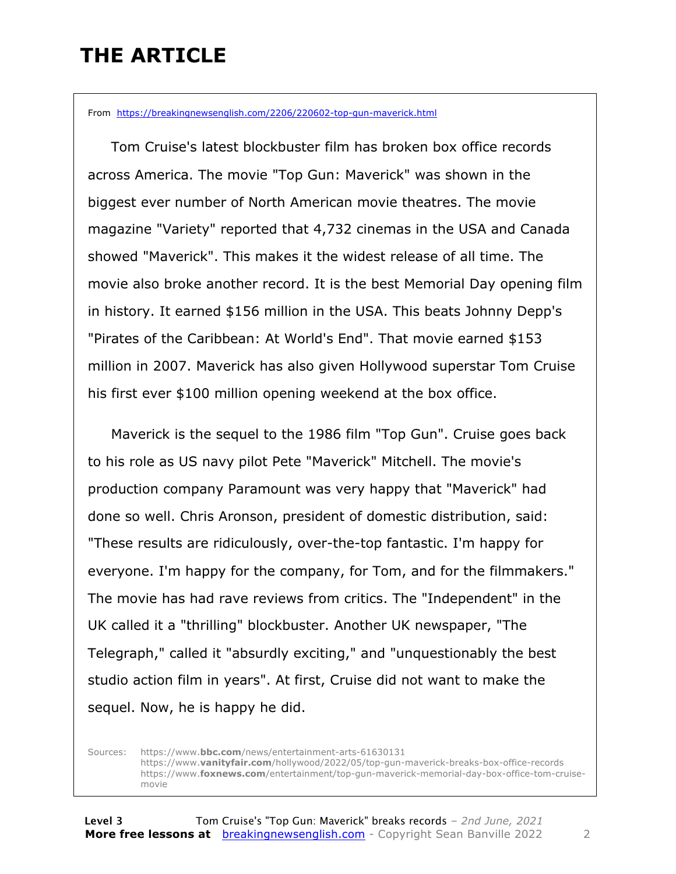### **THE ARTICLE**

From https://breakingnewsenglish.com/2206/220602-top-gun-maverick.html

 Tom Cruise's latest blockbuster film has broken box office records across America. The movie "Top Gun: Maverick" was shown in the biggest ever number of North American movie theatres. The movie magazine "Variety" reported that 4,732 cinemas in the USA and Canada showed "Maverick". This makes it the widest release of all time. The movie also broke another record. It is the best Memorial Day opening film in history. It earned \$156 million in the USA. This beats Johnny Depp's "Pirates of the Caribbean: At World's End". That movie earned \$153 million in 2007. Maverick has also given Hollywood superstar Tom Cruise his first ever \$100 million opening weekend at the box office.

 Maverick is the sequel to the 1986 film "Top Gun". Cruise goes back to his role as US navy pilot Pete "Maverick" Mitchell. The movie's production company Paramount was very happy that "Maverick" had done so well. Chris Aronson, president of domestic distribution, said: "These results are ridiculously, over-the-top fantastic. I'm happy for everyone. I'm happy for the company, for Tom, and for the filmmakers." The movie has had rave reviews from critics. The "Independent" in the UK called it a "thrilling" blockbuster. Another UK newspaper, "The Telegraph," called it "absurdly exciting," and "unquestionably the best studio action film in years". At first, Cruise did not want to make the sequel. Now, he is happy he did.

Sources: https://www.**bbc.com**/news/entertainment-arts-61630131 https://www.**vanityfair.com**/hollywood/2022/05/top-gun-maverick-breaks-box-office-records https://www.**foxnews.com**/entertainment/top-gun-maverick-memorial-day-box-office-tom-cruisemovie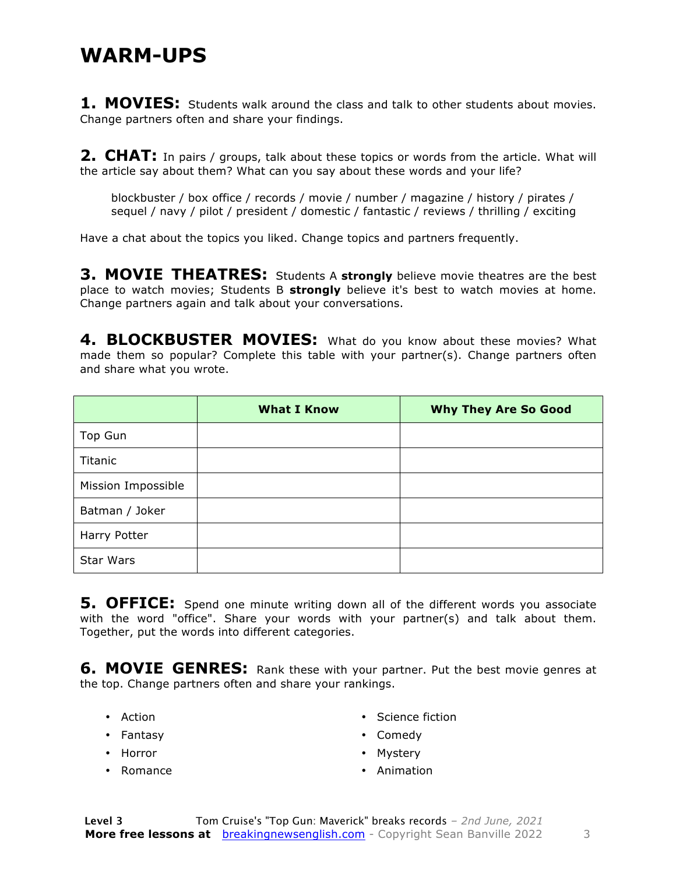#### **WARM-UPS**

**1. MOVIES:** Students walk around the class and talk to other students about movies. Change partners often and share your findings.

**2. CHAT:** In pairs / groups, talk about these topics or words from the article. What will the article say about them? What can you say about these words and your life?

blockbuster / box office / records / movie / number / magazine / history / pirates / sequel / navy / pilot / president / domestic / fantastic / reviews / thrilling / exciting

Have a chat about the topics you liked. Change topics and partners frequently.

**3. MOVIE THEATRES:** Students A **strongly** believe movie theatres are the best place to watch movies; Students B **strongly** believe it's best to watch movies at home. Change partners again and talk about your conversations.

4. BLOCKBUSTER MOVIES: What do you know about these movies? What made them so popular? Complete this table with your partner(s). Change partners often and share what you wrote.

|                    | <b>What I Know</b> | <b>Why They Are So Good</b> |
|--------------------|--------------------|-----------------------------|
| Top Gun            |                    |                             |
| Titanic            |                    |                             |
| Mission Impossible |                    |                             |
| Batman / Joker     |                    |                             |
| Harry Potter       |                    |                             |
| <b>Star Wars</b>   |                    |                             |

**5. OFFICE:** Spend one minute writing down all of the different words you associate with the word "office". Share your words with your partner(s) and talk about them. Together, put the words into different categories.

**6. MOVIE GENRES:** Rank these with your partner. Put the best movie genres at the top. Change partners often and share your rankings.

- Action
- Fantasy
- Horror
- Romance
- Science fiction
- Comedy
- Mystery
- Animation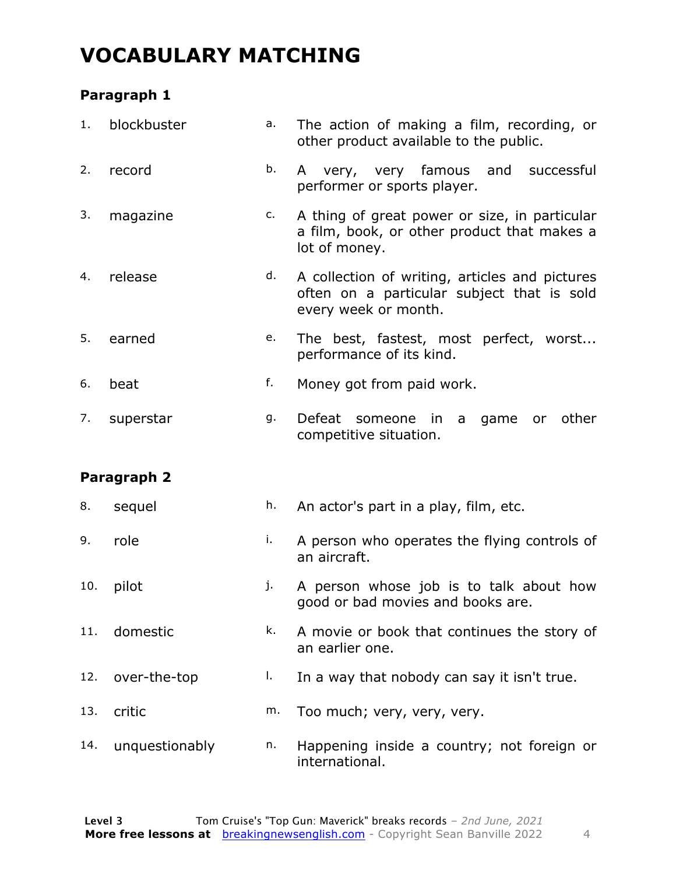### **VOCABULARY MATCHING**

#### **Paragraph 1**

| 1.  | blockbuster    | a. | The action of making a film, recording, or<br>other product available to the public.                                 |
|-----|----------------|----|----------------------------------------------------------------------------------------------------------------------|
| 2.  | record         | b. | very, very famous and successful<br>A<br>performer or sports player.                                                 |
| 3.  | magazine       | c. | A thing of great power or size, in particular<br>a film, book, or other product that makes a<br>lot of money.        |
| 4.  | release        | d. | A collection of writing, articles and pictures<br>often on a particular subject that is sold<br>every week or month. |
| 5.  | earned         | e. | The best, fastest, most perfect, worst<br>performance of its kind.                                                   |
| 6.  | beat           | f. | Money got from paid work.                                                                                            |
| 7.  | superstar      | g. | Defeat<br>in<br>game<br>other<br>someone<br>a a<br>or<br>competitive situation.                                      |
|     | Paragraph 2    |    |                                                                                                                      |
| 8.  | sequel         | h. | An actor's part in a play, film, etc.                                                                                |
| 9.  | role           | i. | A person who operates the flying controls of<br>an aircraft.                                                         |
| 10. | pilot          | j. | A person whose job is to talk about how<br>good or bad movies and books are.                                         |
| 11. | domestic       | k. | A movie or book that continues the story of<br>an earlier one.                                                       |
| 12. | over-the-top   | I. | In a way that nobody can say it isn't true.                                                                          |
| 13. | critic         | m. | Too much; very, very, very.                                                                                          |
| 14. | unquestionably | n. | Happening inside a country; not foreign or<br>international.                                                         |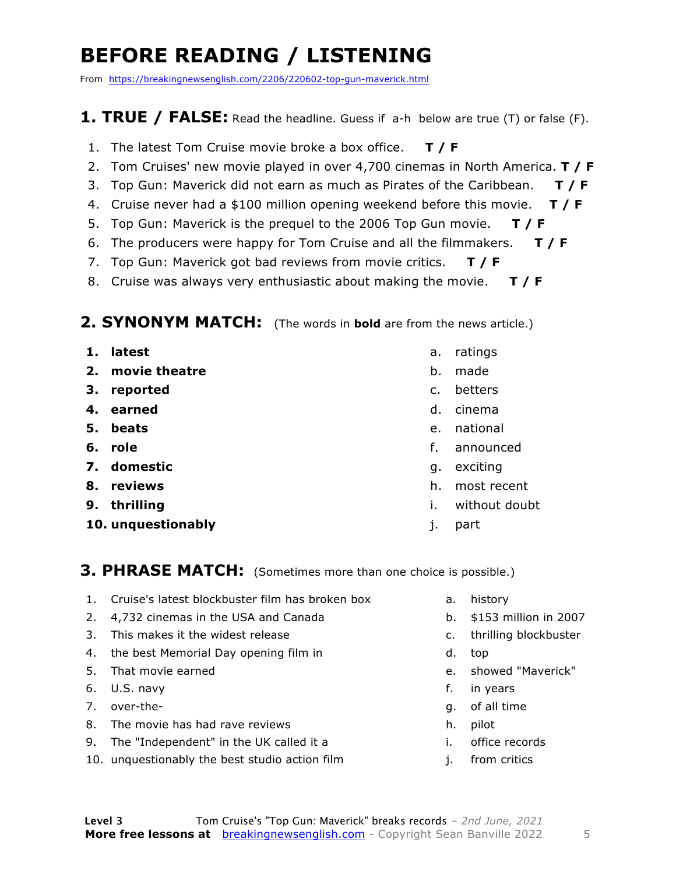### **BEFORE READING / LISTENING**

From https://breakingnewsenglish.com/2206/220602-top-gun-maverick.html

#### **1. TRUE / FALSE:** Read the headline. Guess if a-h below are true (T) or false (F).

- 1. The latest Tom Cruise movie broke a box office. **T / F**
- 2. Tom Cruises' new movie played in over 4,700 cinemas in North America. **T / F**
- 3. Top Gun: Maverick did not earn as much as Pirates of the Caribbean. **T / F**
- 4. Cruise never had a \$100 million opening weekend before this movie. **T / F**
- 5. Top Gun: Maverick is the prequel to the 2006 Top Gun movie. **T / F**
- 6. The producers were happy for Tom Cruise and all the filmmakers. **T / F**
- 7. Top Gun: Maverick got bad reviews from movie critics. **T / F**
- 8. Cruise was always very enthusiastic about making the movie. **T / F**

#### **2. SYNONYM MATCH:** (The words in **bold** are from the news article.)

- **1. latest**
- **2. movie theatre**
- **3. reported**
- **4. earned**
- **5. beats**
- **6. role**
- **7. domestic**
- **8. reviews**
- **9. thrilling**
- **10. unquestionably**
- a. ratings
- b. made
- c. betters
- d. cinema
- e. national
- f. announced
- g. exciting
- h. most recent
- i. without doubt
- j. part

#### **3. PHRASE MATCH:** (Sometimes more than one choice is possible.)

- 1. Cruise's latest blockbuster film has broken box
- 2. 4,732 cinemas in the USA and Canada
- 3. This makes it the widest release
- 4. the best Memorial Day opening film in
- 5. That movie earned
- 6. U.S. navy
- 7. over-the-
- 8. The movie has had rave reviews
- 9. The "Independent" in the UK called it a
- 10. unquestionably the best studio action film
- a. history
- b. \$153 million in 2007
- c. thrilling blockbuster
- d. top
- e. showed "Maverick"
- f. in years
- g. of all time
- h. pilot
- i. office records
- j. from critics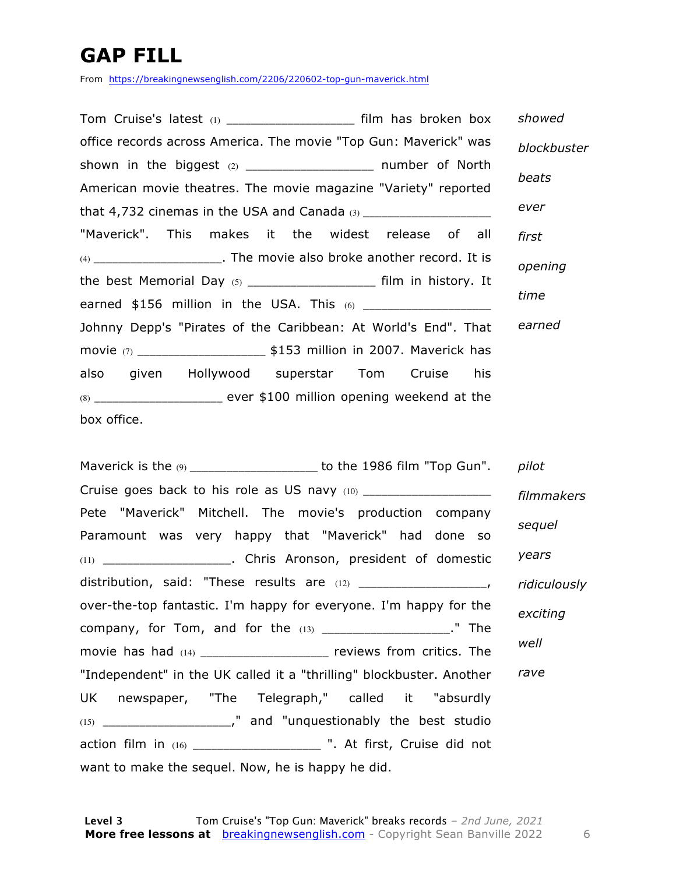### **GAP FILL**

From https://breakingnewsenglish.com/2206/220602-top-gun-maverick.html

| Tom Cruise's latest $(1)$ __________________________ film has broken box  | showed      |
|---------------------------------------------------------------------------|-------------|
| office records across America. The movie "Top Gun: Maverick" was          | blockbuster |
| shown in the biggest (2) ______________________ number of North           |             |
| American movie theatres. The movie magazine "Variety" reported            | beats       |
|                                                                           | ever        |
| "Maverick". This makes it the widest release of all                       | first       |
| (4) _________________________. The movie also broke another record. It is | opening     |
| the best Memorial Day (5) ______________________ film in history. It      |             |
| earned \$156 million in the USA. This (6) ___________________             | time        |
| Johnny Depp's "Pirates of the Caribbean: At World's End". That            | earned      |
|                                                                           |             |
| also given Hollywood superstar Tom Cruise his                             |             |
|                                                                           |             |
| box office.                                                               |             |

| Maverick is the $\omega$ _____________________ to the 1986 film "Top Gun". pilot |              |
|----------------------------------------------------------------------------------|--------------|
| Cruise goes back to his role as US navy (10) ___________________________________ | filmmakers   |
| Pete "Maverick" Mitchell. The movie's production company                         |              |
| Paramount was very happy that "Maverick" had done so                             | sequel       |
|                                                                                  | years        |
|                                                                                  | ridiculously |
| over-the-top fantastic. I'm happy for everyone. I'm happy for the                | exciting     |
| company, for Tom, and for the $(13)$ _____________________." The                 |              |
| movie has had $(14)$ _____________________ reviews from critics. The             | well         |
| "Independent" in the UK called it a "thrilling" blockbuster. Another             | rave         |
| UK newspaper, "The Telegraph," called it "absurdly                               |              |
|                                                                                  |              |
| action film in (16) ______________________ ". At first, Cruise did not           |              |
| want to make the sequel. Now, he is happy he did.                                |              |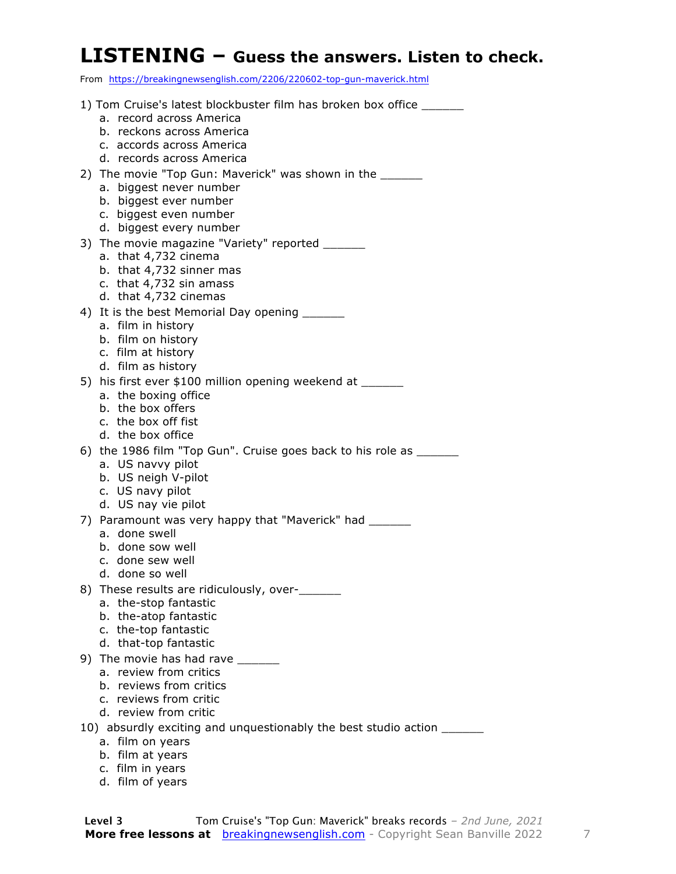#### **LISTENING – Guess the answers. Listen to check.**

From https://breakingnewsenglish.com/2206/220602-top-gun-maverick.html

|    | 1) Tom Cruise's latest blockbuster film has broken box office                       |
|----|-------------------------------------------------------------------------------------|
|    | a. record across America                                                            |
|    | b. reckons across America                                                           |
|    | c. accords across America                                                           |
|    | d. records across America                                                           |
|    | 2) The movie "Top Gun: Maverick" was shown in the ______<br>a. biggest never number |
|    | b. biggest ever number                                                              |
|    | c. biggest even number                                                              |
|    | d. biggest every number                                                             |
|    | 3) The movie magazine "Variety" reported ______                                     |
|    | a. that 4,732 cinema                                                                |
|    | b. that 4,732 sinner mas                                                            |
|    | c. that 4,732 sin amass                                                             |
|    | d. that 4,732 cinemas                                                               |
|    | 4) It is the best Memorial Day opening _______                                      |
|    | a. film in history<br>b. film on history                                            |
|    | c. film at history                                                                  |
|    | d. film as history                                                                  |
|    | 5) his first ever \$100 million opening weekend at ______                           |
|    | a. the boxing office                                                                |
|    | b. the box offers                                                                   |
|    | c. the box off fist                                                                 |
|    | d. the box office                                                                   |
|    | 6) the 1986 film "Top Gun". Cruise goes back to his role as ______                  |
|    | a. US navvy pilot<br>b. US neigh V-pilot                                            |
|    | c. US navy pilot                                                                    |
|    | d. US nay vie pilot                                                                 |
|    | 7) Paramount was very happy that "Maverick" had _______                             |
|    | a. done swell                                                                       |
|    | b. done sow well                                                                    |
|    | c. done sew well                                                                    |
|    | d. done so well                                                                     |
| 8) | These results are ridiculously, over-<br>a. the-stop fantastic                      |
|    | b. the-atop fantastic                                                               |
|    | c. the-top fantastic                                                                |
|    | d. that-top fantastic                                                               |
|    | 9) The movie has had rave                                                           |
|    | a. review from critics                                                              |
|    | b. reviews from critics                                                             |
|    | c. reviews from critic                                                              |
|    | d. review from critic                                                               |
|    | 10) absurdly exciting and unquestionably the best studio action ____                |
|    | a. film on years<br>b. film at years                                                |
|    | c. film in years                                                                    |
|    |                                                                                     |

d. film of years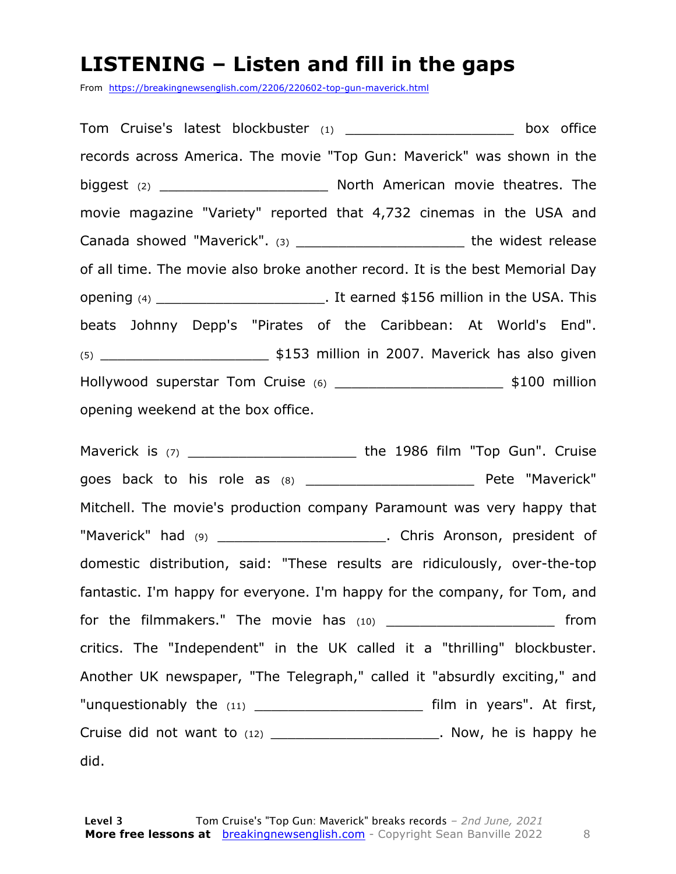#### **LISTENING – Listen and fill in the gaps**

From https://breakingnewsenglish.com/2206/220602-top-gun-maverick.html

Tom Cruise's latest blockbuster (1) \_\_\_\_\_\_\_\_\_\_\_\_\_\_\_\_\_\_\_\_ box office records across America. The movie "Top Gun: Maverick" was shown in the biggest (2) **biggest** (2) **Example 20** North American movie theatres. The movie magazine "Variety" reported that 4,732 cinemas in the USA and Canada showed "Maverick". (3) \_\_\_\_\_\_\_\_\_\_\_\_\_\_\_\_\_\_\_\_\_\_\_\_\_\_\_\_\_\_\_ the widest release of all time. The movie also broke another record. It is the best Memorial Day opening (4) \_\_\_\_\_\_\_\_\_\_\_\_\_\_\_\_\_\_\_\_\_\_\_\_\_\_\_\_\_. It earned \$156 million in the USA. This beats Johnny Depp's "Pirates of the Caribbean: At World's End". (5) \_\_\_\_\_\_\_\_\_\_\_\_\_\_\_\_\_\_\_\_ \$153 million in 2007. Maverick has also given Hollywood superstar Tom Cruise (6) \_\_\_\_\_\_\_\_\_\_\_\_\_\_\_\_\_\_\_\_\_\_\_\_\_\_\_ \$100 million opening weekend at the box office.

Maverick is (7) \_\_\_\_\_\_\_\_\_\_\_\_\_\_\_\_\_\_\_\_\_\_\_\_\_\_\_\_\_\_\_the 1986 film "Top Gun". Cruise goes back to his role as (8) \_\_\_\_\_\_\_\_\_\_\_\_\_\_\_\_\_\_\_\_ Pete "Maverick" Mitchell. The movie's production company Paramount was very happy that "Maverick" had (9) \_\_\_\_\_\_\_\_\_\_\_\_\_\_\_\_\_\_\_\_\_\_\_\_\_\_. Chris Aronson, president of domestic distribution, said: "These results are ridiculously, over-the-top fantastic. I'm happy for everyone. I'm happy for the company, for Tom, and for the filmmakers." The movie has (10) \_\_\_\_\_\_\_\_\_\_\_\_\_\_\_\_\_\_\_\_\_\_\_\_\_ from critics. The "Independent" in the UK called it a "thrilling" blockbuster. Another UK newspaper, "The Telegraph," called it "absurdly exciting," and "unquestionably the (11) The settle of the film in years". At first, Cruise did not want to  $(12)$  \_\_\_\_\_\_\_\_\_\_\_\_\_\_\_\_\_\_\_\_\_\_\_\_. Now, he is happy he did.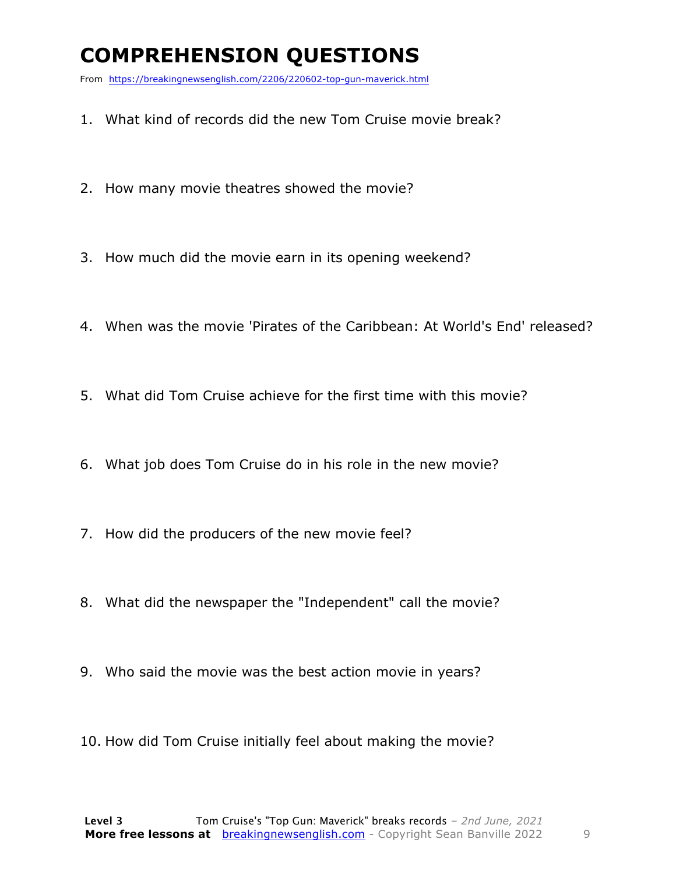### **COMPREHENSION QUESTIONS**

From https://breakingnewsenglish.com/2206/220602-top-gun-maverick.html

- 1. What kind of records did the new Tom Cruise movie break?
- 2. How many movie theatres showed the movie?
- 3. How much did the movie earn in its opening weekend?
- 4. When was the movie 'Pirates of the Caribbean: At World's End' released?
- 5. What did Tom Cruise achieve for the first time with this movie?
- 6. What job does Tom Cruise do in his role in the new movie?
- 7. How did the producers of the new movie feel?
- 8. What did the newspaper the "Independent" call the movie?
- 9. Who said the movie was the best action movie in years?
- 10. How did Tom Cruise initially feel about making the movie?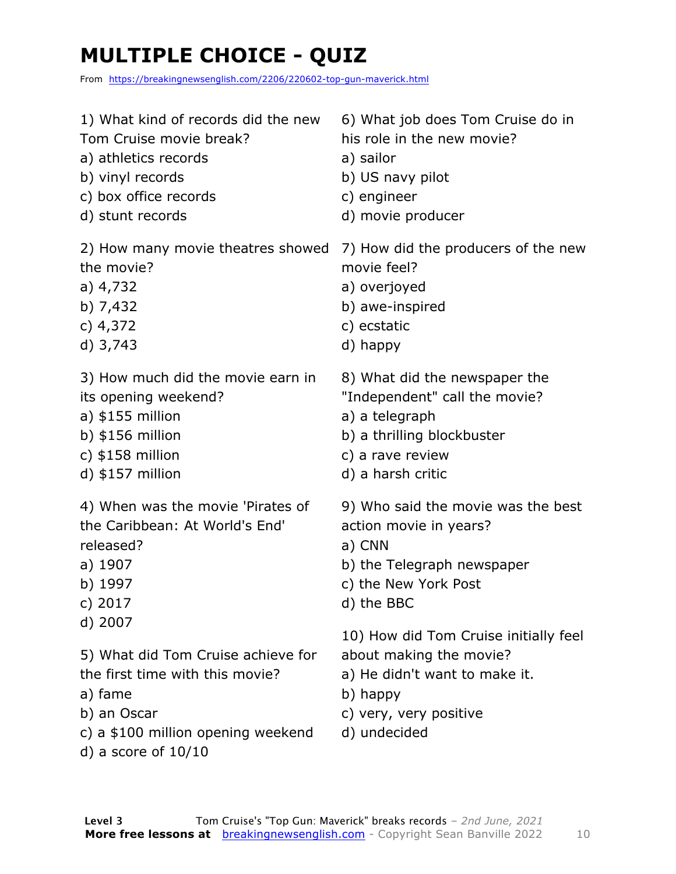### **MULTIPLE CHOICE - QUIZ**

From https://breakingnewsenglish.com/2206/220602-top-gun-maverick.html

| 1) What kind of records did the new                                                                                                                                       | 6) What job does Tom Cruise do in                                                                                                                       |
|---------------------------------------------------------------------------------------------------------------------------------------------------------------------------|---------------------------------------------------------------------------------------------------------------------------------------------------------|
| Tom Cruise movie break?                                                                                                                                                   | his role in the new movie?                                                                                                                              |
| a) athletics records                                                                                                                                                      | a) sailor                                                                                                                                               |
| b) vinyl records                                                                                                                                                          | b) US navy pilot                                                                                                                                        |
| c) box office records                                                                                                                                                     | c) engineer                                                                                                                                             |
| d) stunt records                                                                                                                                                          | d) movie producer                                                                                                                                       |
| 2) How many movie theatres showed                                                                                                                                         | 7) How did the producers of the new                                                                                                                     |
| the movie?                                                                                                                                                                | movie feel?                                                                                                                                             |
| a) 4,732                                                                                                                                                                  | a) overjoyed                                                                                                                                            |
| b) $7,432$                                                                                                                                                                | b) awe-inspired                                                                                                                                         |
| c) $4,372$                                                                                                                                                                | c) ecstatic                                                                                                                                             |
| $d)$ 3,743                                                                                                                                                                | d) happy                                                                                                                                                |
| 3) How much did the movie earn in                                                                                                                                         | 8) What did the newspaper the                                                                                                                           |
| its opening weekend?                                                                                                                                                      | "Independent" call the movie?                                                                                                                           |
| $a)$ \$155 million                                                                                                                                                        | a) a telegraph                                                                                                                                          |
| b) $$156$ million                                                                                                                                                         | b) a thrilling blockbuster                                                                                                                              |
| c) $$158$ million                                                                                                                                                         | c) a rave review                                                                                                                                        |
| $d)$ \$157 million                                                                                                                                                        | d) a harsh critic                                                                                                                                       |
| 4) When was the movie 'Pirates of                                                                                                                                         | 9) Who said the movie was the best                                                                                                                      |
| the Caribbean: At World's End'                                                                                                                                            | action movie in years?                                                                                                                                  |
| released?                                                                                                                                                                 | a) CNN                                                                                                                                                  |
| a) 1907                                                                                                                                                                   | b) the Telegraph newspaper                                                                                                                              |
| b) 1997                                                                                                                                                                   | c) the New York Post                                                                                                                                    |
| c) 2017                                                                                                                                                                   | d) the BBC                                                                                                                                              |
| d) 2007<br>5) What did Tom Cruise achieve for<br>the first time with this movie?<br>a) fame<br>b) an Oscar<br>c) a \$100 million opening weekend<br>d) a score of $10/10$ | 10) How did Tom Cruise initially feel<br>about making the movie?<br>a) He didn't want to make it.<br>b) happy<br>c) very, very positive<br>d) undecided |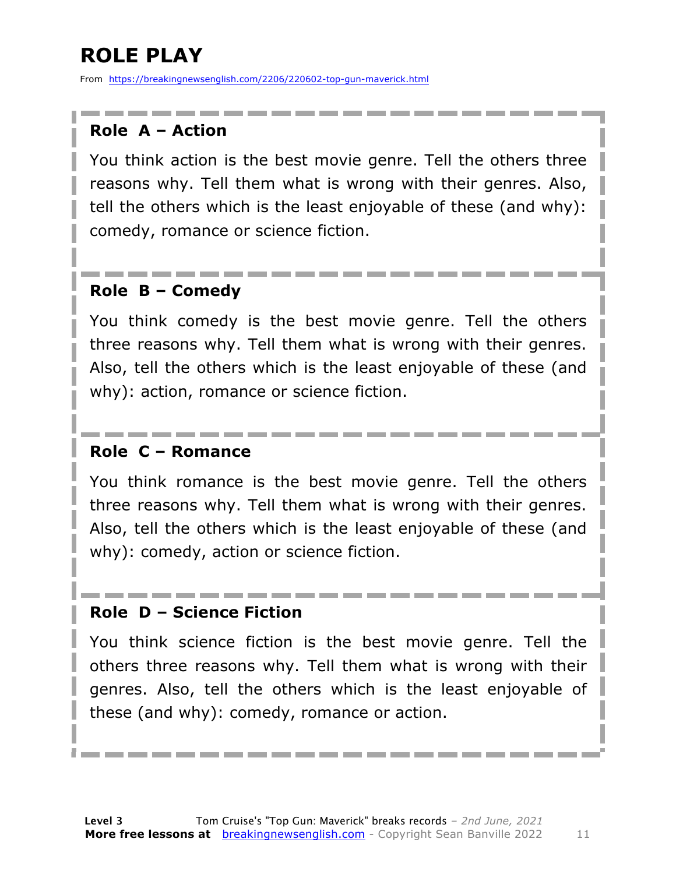### **ROLE PLAY**

From https://breakingnewsenglish.com/2206/220602-top-gun-maverick.html

#### **Role A – Action**

You think action is the best movie genre. Tell the others three reasons why. Tell them what is wrong with their genres. Also, tell the others which is the least enjoyable of these (and why): comedy, romance or science fiction.

#### **Role B – Comedy**

You think comedy is the best movie genre. Tell the others three reasons why. Tell them what is wrong with their genres. Also, tell the others which is the least enjoyable of these (and why): action, romance or science fiction.

#### **Role C – Romance**

You think romance is the best movie genre. Tell the others three reasons why. Tell them what is wrong with their genres. Also, tell the others which is the least enjoyable of these (and why): comedy, action or science fiction.

#### **Role D – Science Fiction**

You think science fiction is the best movie genre. Tell the others three reasons why. Tell them what is wrong with their genres. Also, tell the others which is the least enjoyable of these (and why): comedy, romance or action.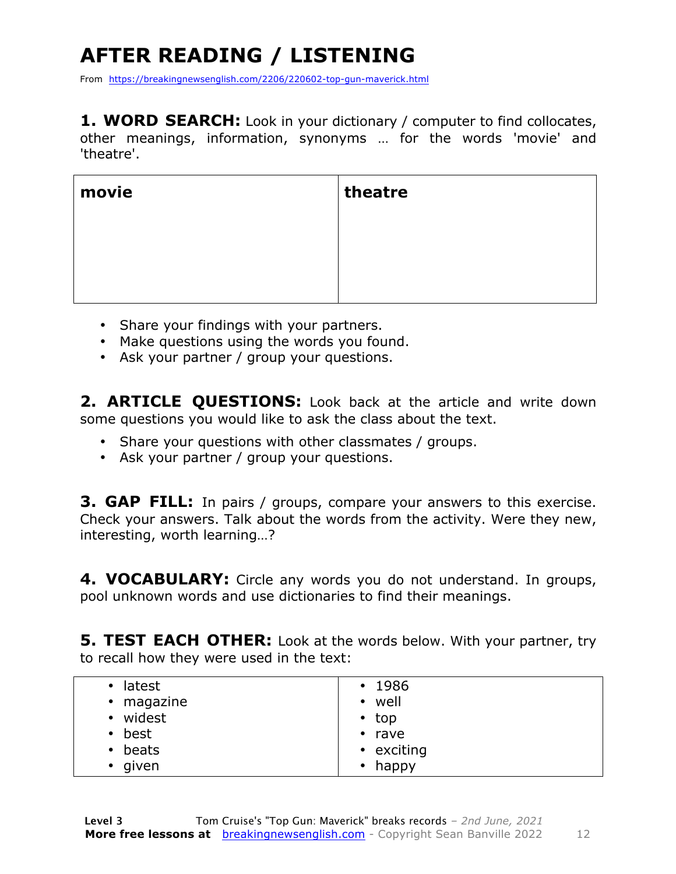## **AFTER READING / LISTENING**

From https://breakingnewsenglish.com/2206/220602-top-gun-maverick.html

1. WORD SEARCH: Look in your dictionary / computer to find collocates, other meanings, information, synonyms … for the words 'movie' and 'theatre'.

| movie | theatre |
|-------|---------|
|       |         |
|       |         |
|       |         |

- Share your findings with your partners.
- Make questions using the words you found.
- Ask your partner / group your questions.

**2. ARTICLE QUESTIONS:** Look back at the article and write down some questions you would like to ask the class about the text.

- Share your questions with other classmates / groups.
- Ask your partner / group your questions.

**3. GAP FILL:** In pairs / groups, compare your answers to this exercise. Check your answers. Talk about the words from the activity. Were they new, interesting, worth learning…?

**4. VOCABULARY:** Circle any words you do not understand. In groups, pool unknown words and use dictionaries to find their meanings.

**5. TEST EACH OTHER:** Look at the words below. With your partner, try to recall how they were used in the text:

| • latest          | $\cdot$ 1986  |
|-------------------|---------------|
| • magazine        | • well        |
| • widest          | $\cdot$ top   |
| best<br>$\bullet$ | $\cdot$ rave  |
| • beats           | • exciting    |
| • given           | $\cdot$ happy |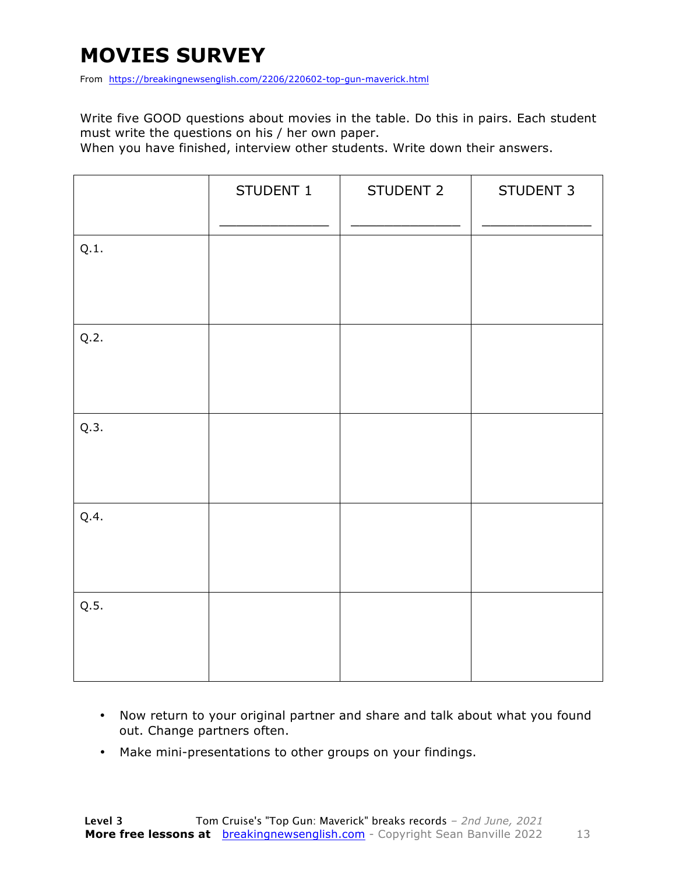### **MOVIES SURVEY**

From https://breakingnewsenglish.com/2206/220602-top-gun-maverick.html

Write five GOOD questions about movies in the table. Do this in pairs. Each student must write the questions on his / her own paper.

When you have finished, interview other students. Write down their answers.

|      | STUDENT 1 | STUDENT 2 | STUDENT 3 |
|------|-----------|-----------|-----------|
| Q.1. |           |           |           |
| Q.2. |           |           |           |
| Q.3. |           |           |           |
| Q.4. |           |           |           |
| Q.5. |           |           |           |

- Now return to your original partner and share and talk about what you found out. Change partners often.
- Make mini-presentations to other groups on your findings.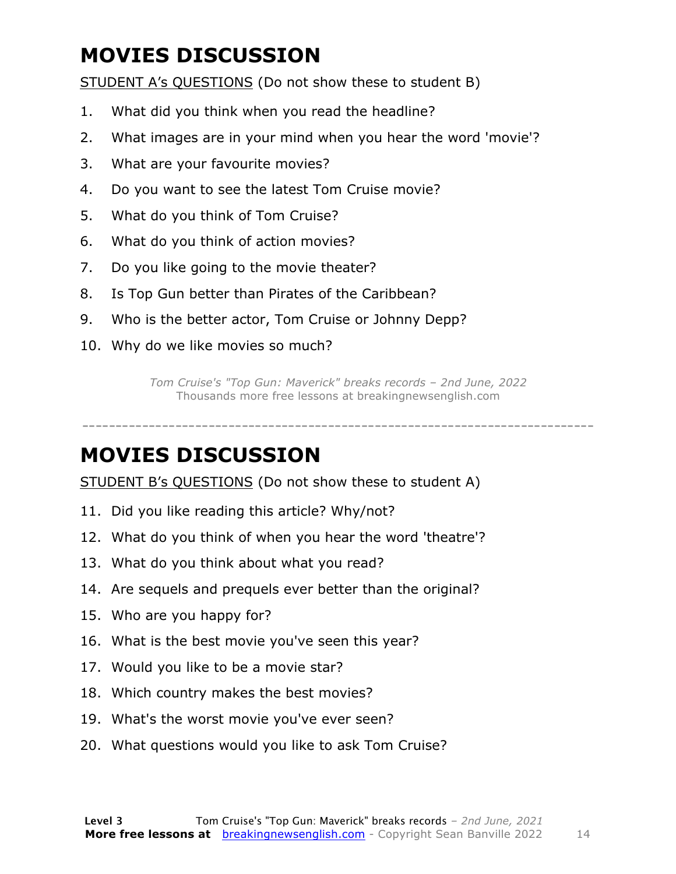### **MOVIES DISCUSSION**

STUDENT A's QUESTIONS (Do not show these to student B)

- 1. What did you think when you read the headline?
- 2. What images are in your mind when you hear the word 'movie'?
- 3. What are your favourite movies?
- 4. Do you want to see the latest Tom Cruise movie?
- 5. What do you think of Tom Cruise?
- 6. What do you think of action movies?
- 7. Do you like going to the movie theater?
- 8. Is Top Gun better than Pirates of the Caribbean?
- 9. Who is the better actor, Tom Cruise or Johnny Depp?
- 10. Why do we like movies so much?

*Tom Cruise's "Top Gun: Maverick" breaks records – 2nd June, 2022* Thousands more free lessons at breakingnewsenglish.com

-----------------------------------------------------------------------------

#### **MOVIES DISCUSSION**

STUDENT B's QUESTIONS (Do not show these to student A)

- 11. Did you like reading this article? Why/not?
- 12. What do you think of when you hear the word 'theatre'?
- 13. What do you think about what you read?
- 14. Are sequels and prequels ever better than the original?
- 15. Who are you happy for?
- 16. What is the best movie you've seen this year?
- 17. Would you like to be a movie star?
- 18. Which country makes the best movies?
- 19. What's the worst movie you've ever seen?
- 20. What questions would you like to ask Tom Cruise?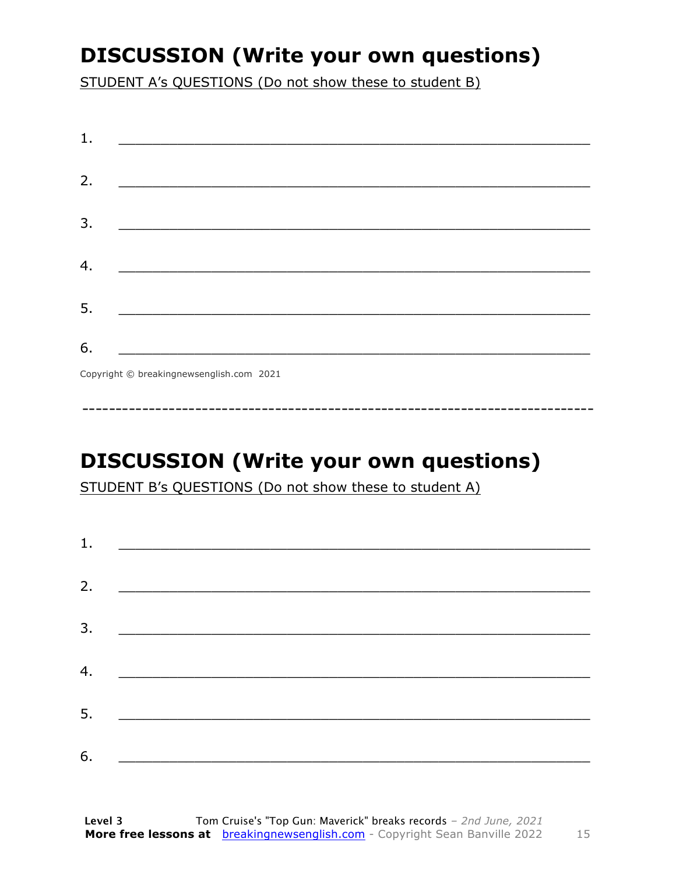### **DISCUSSION (Write your own questions)**

STUDENT A's QUESTIONS (Do not show these to student B)

### **DISCUSSION (Write your own questions)**

STUDENT B's QUESTIONS (Do not show these to student A)

| 1. |                                                                                                                         |  |  |
|----|-------------------------------------------------------------------------------------------------------------------------|--|--|
|    |                                                                                                                         |  |  |
| 2. | <u> 1980 - Andrea Stationer, fransk politiker (d. 1980)</u>                                                             |  |  |
| 3. |                                                                                                                         |  |  |
|    |                                                                                                                         |  |  |
| 4. | <u> 1980 - Jan Samuel Barbara, margaret eta idazlea (h. 1980).</u>                                                      |  |  |
| 5. | <u> 1986 - Johann Stoff, deutscher Stoffen und der Stoffen und der Stoffen und der Stoffen und der Stoffen und der </u> |  |  |
|    |                                                                                                                         |  |  |
| 6. | <u> 1989 - Johann John Stone, market fan it ferskearre fan it ferskearre fan it ferskearre fan it ferskearre fan i</u>  |  |  |

15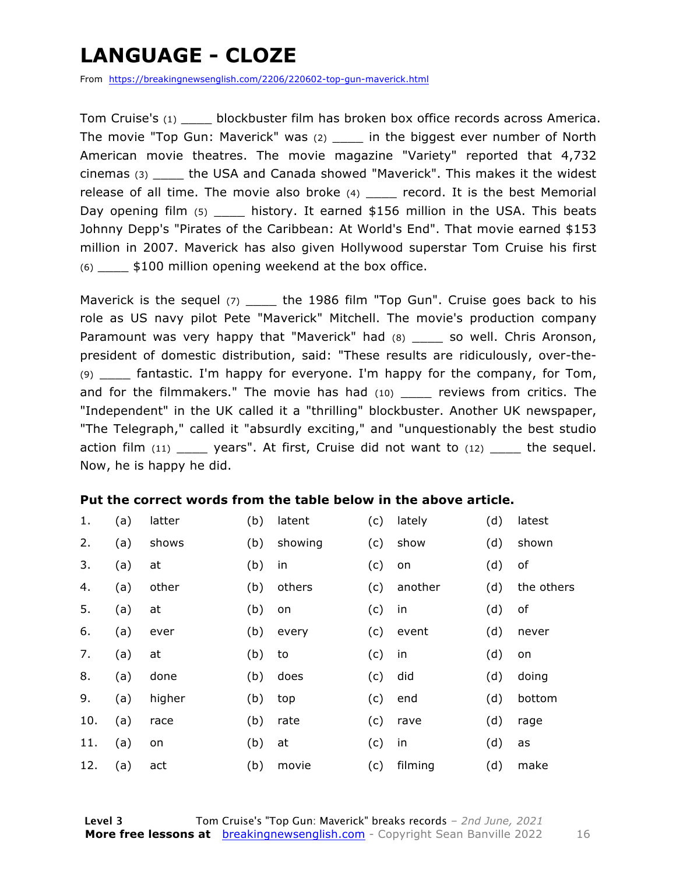### **LANGUAGE - CLOZE**

From https://breakingnewsenglish.com/2206/220602-top-gun-maverick.html

Tom Cruise's (1) \_\_\_\_ blockbuster film has broken box office records across America. The movie "Top Gun: Maverick" was (2) \_\_\_\_ in the biggest ever number of North American movie theatres. The movie magazine "Variety" reported that 4,732 cinemas (3) \_\_\_\_ the USA and Canada showed "Maverick". This makes it the widest release of all time. The movie also broke  $(4)$  \_\_\_\_ record. It is the best Memorial Day opening film  $(5)$  history. It earned \$156 million in the USA. This beats Johnny Depp's "Pirates of the Caribbean: At World's End". That movie earned \$153 million in 2007. Maverick has also given Hollywood superstar Tom Cruise his first (6) \_\_\_\_ \$100 million opening weekend at the box office.

Maverick is the sequel (7) \_\_\_\_\_ the 1986 film "Top Gun". Cruise goes back to his role as US navy pilot Pete "Maverick" Mitchell. The movie's production company Paramount was very happy that "Maverick" had (8) \_\_\_\_ so well. Chris Aronson, president of domestic distribution, said: "These results are ridiculously, over-the- (9) \_\_\_\_ fantastic. I'm happy for everyone. I'm happy for the company, for Tom, and for the filmmakers." The movie has had  $(10)$  reviews from critics. The "Independent" in the UK called it a "thrilling" blockbuster. Another UK newspaper, "The Telegraph," called it "absurdly exciting," and "unquestionably the best studio action film  $(11)$  \_\_\_\_ years". At first, Cruise did not want to  $(12)$  \_\_\_\_ the sequel. Now, he is happy he did.

#### **Put the correct words from the table below in the above article.**

| 1.  | (a) | latter | (b) | latent  | (c) | lately  | (d) | latest     |
|-----|-----|--------|-----|---------|-----|---------|-----|------------|
| 2.  | (a) | shows  | (b) | showing | (c) | show    | (d) | shown      |
| 3.  | (a) | at     | (b) | in      | (c) | on      | (d) | of         |
| 4.  | (a) | other  | (b) | others  | (c) | another | (d) | the others |
| 5.  | (a) | at     | (b) | on      | (c) | in      | (d) | of         |
| 6.  | (a) | ever   | (b) | every   | (c) | event   | (d) | never      |
| 7.  | (a) | at     | (b) | to      | (c) | in      | (d) | on         |
| 8.  | (a) | done   | (b) | does    | (c) | did     | (d) | doing      |
| 9.  | (a) | higher | (b) | top     | (c) | end     | (d) | bottom     |
| 10. | (a) | race   | (b) | rate    | (c) | rave    | (d) | rage       |
| 11. | (a) | on     | (b) | at      | (c) | in      | (d) | as         |
| 12. | (a) | act    | (b) | movie   | (c) | filming | (d) | make       |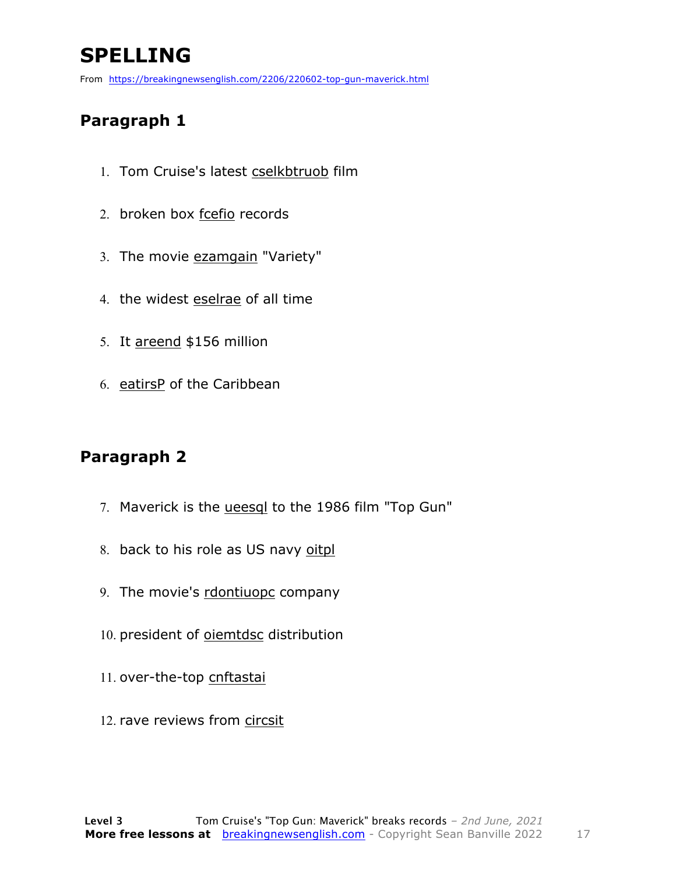### **SPELLING**

From https://breakingnewsenglish.com/2206/220602-top-gun-maverick.html

#### **Paragraph 1**

- 1. Tom Cruise's latest cselkbtruob film
- 2. broken box fcefio records
- 3. The movie ezamgain "Variety"
- 4. the widest eselrae of all time
- 5. It areend \$156 million
- 6. eatirsP of the Caribbean

#### **Paragraph 2**

- 7. Maverick is the ueesql to the 1986 film "Top Gun"
- 8. back to his role as US navy oitpl
- 9. The movie's rdontiuopc company
- 10. president of **oiemtdsc** distribution
- 11. over-the-top cnftastai
- 12. rave reviews from circsit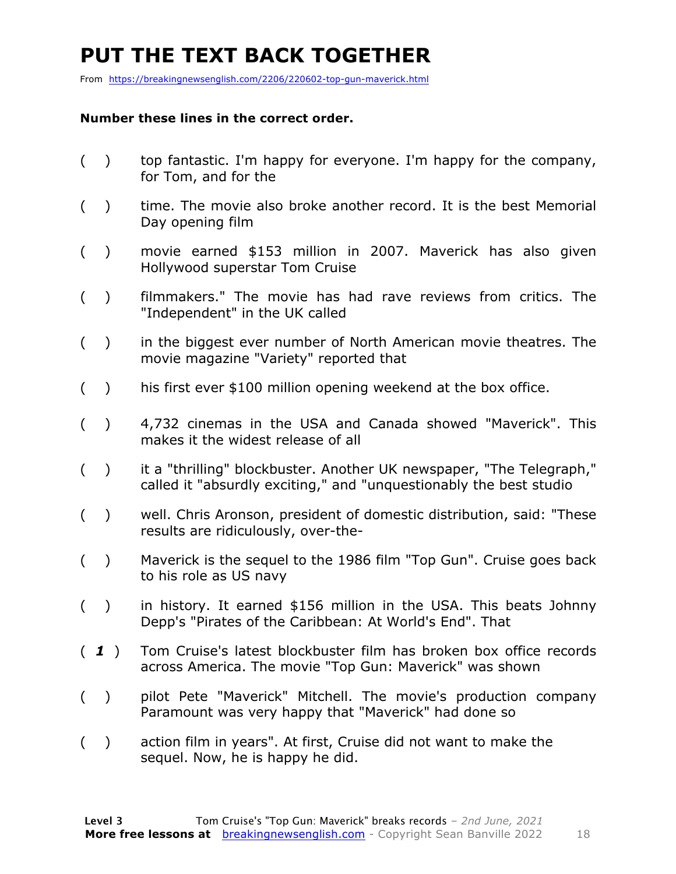### **PUT THE TEXT BACK TOGETHER**

From https://breakingnewsenglish.com/2206/220602-top-gun-maverick.html

#### **Number these lines in the correct order.**

- ( ) top fantastic. I'm happy for everyone. I'm happy for the company, for Tom, and for the
- () time. The movie also broke another record. It is the best Memorial Day opening film
- ( ) movie earned \$153 million in 2007. Maverick has also given Hollywood superstar Tom Cruise
- ( ) filmmakers." The movie has had rave reviews from critics. The "Independent" in the UK called
- ( ) in the biggest ever number of North American movie theatres. The movie magazine "Variety" reported that
- ( ) his first ever \$100 million opening weekend at the box office.
- ( ) 4,732 cinemas in the USA and Canada showed "Maverick". This makes it the widest release of all
- ( ) it a "thrilling" blockbuster. Another UK newspaper, "The Telegraph," called it "absurdly exciting," and "unquestionably the best studio
- ( ) well. Chris Aronson, president of domestic distribution, said: "These results are ridiculously, over-the-
- ( ) Maverick is the sequel to the 1986 film "Top Gun". Cruise goes back to his role as US navy
- ( ) in history. It earned \$156 million in the USA. This beats Johnny Depp's "Pirates of the Caribbean: At World's End". That
- ( *1* ) Tom Cruise's latest blockbuster film has broken box office records across America. The movie "Top Gun: Maverick" was shown
- ( ) pilot Pete "Maverick" Mitchell. The movie's production company Paramount was very happy that "Maverick" had done so
- ( ) action film in years". At first, Cruise did not want to make the sequel. Now, he is happy he did.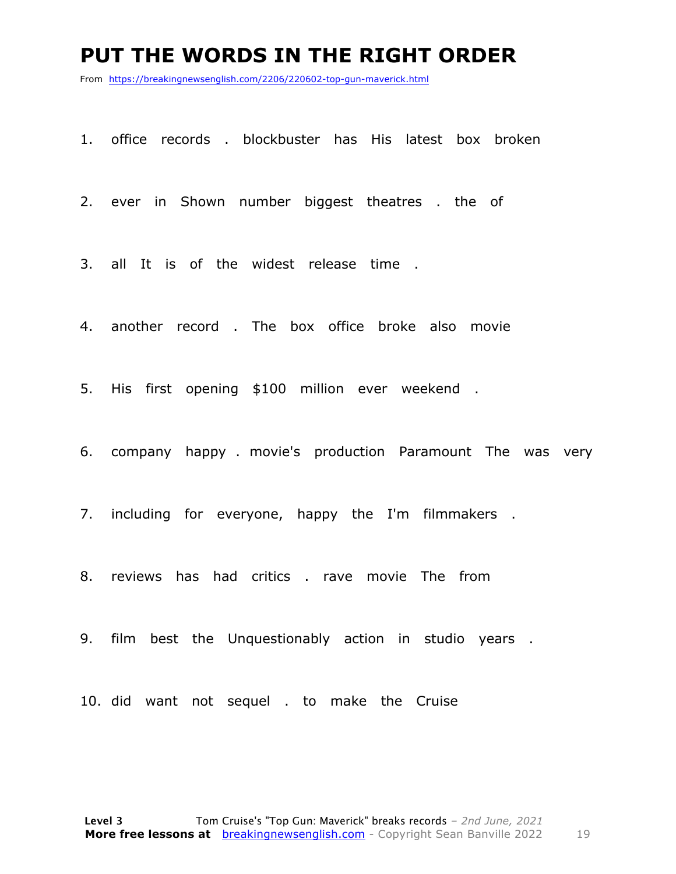#### **PUT THE WORDS IN THE RIGHT ORDER**

From https://breakingnewsenglish.com/2206/220602-top-gun-maverick.html

1. office records . blockbuster has His latest box broken

2. ever in Shown number biggest theatres . the of

3. all It is of the widest release time .

4. another record . The box office broke also movie

5. His first opening \$100 million ever weekend .

6. company happy . movie's production Paramount The was very

7. including for everyone, happy the I'm filmmakers .

8. reviews has had critics . rave movie The from

9. film best the Unquestionably action in studio years .

10. did want not sequel . to make the Cruise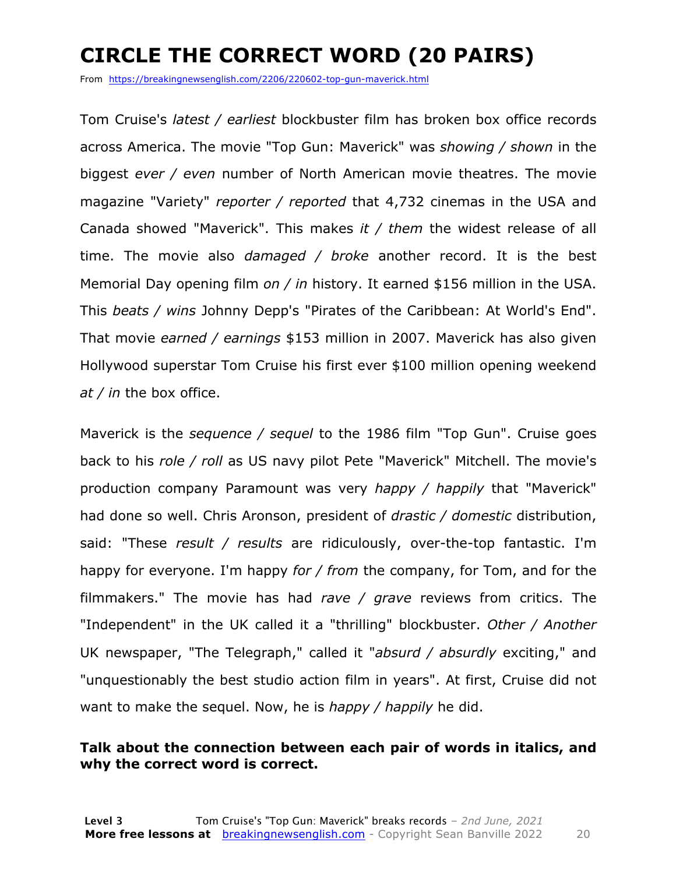### **CIRCLE THE CORRECT WORD (20 PAIRS)**

From https://breakingnewsenglish.com/2206/220602-top-gun-maverick.html

Tom Cruise's *latest / earliest* blockbuster film has broken box office records across America. The movie "Top Gun: Maverick" was *showing / shown* in the biggest *ever / even* number of North American movie theatres. The movie magazine "Variety" *reporter / reported* that 4,732 cinemas in the USA and Canada showed "Maverick". This makes *it / them* the widest release of all time. The movie also *damaged / broke* another record. It is the best Memorial Day opening film *on / in* history. It earned \$156 million in the USA. This *beats / wins* Johnny Depp's "Pirates of the Caribbean: At World's End". That movie *earned / earnings* \$153 million in 2007. Maverick has also given Hollywood superstar Tom Cruise his first ever \$100 million opening weekend *at / in* the box office.

Maverick is the *sequence / sequel* to the 1986 film "Top Gun". Cruise goes back to his *role / roll* as US navy pilot Pete "Maverick" Mitchell. The movie's production company Paramount was very *happy / happily* that "Maverick" had done so well. Chris Aronson, president of *drastic / domestic* distribution, said: "These *result / results* are ridiculously, over-the-top fantastic. I'm happy for everyone. I'm happy *for / from* the company, for Tom, and for the filmmakers." The movie has had *rave / grave* reviews from critics. The "Independent" in the UK called it a "thrilling" blockbuster. *Other / Another* UK newspaper, "The Telegraph," called it "*absurd / absurdly* exciting," and "unquestionably the best studio action film in years". At first, Cruise did not want to make the sequel. Now, he is *happy / happily* he did.

#### **Talk about the connection between each pair of words in italics, and why the correct word is correct.**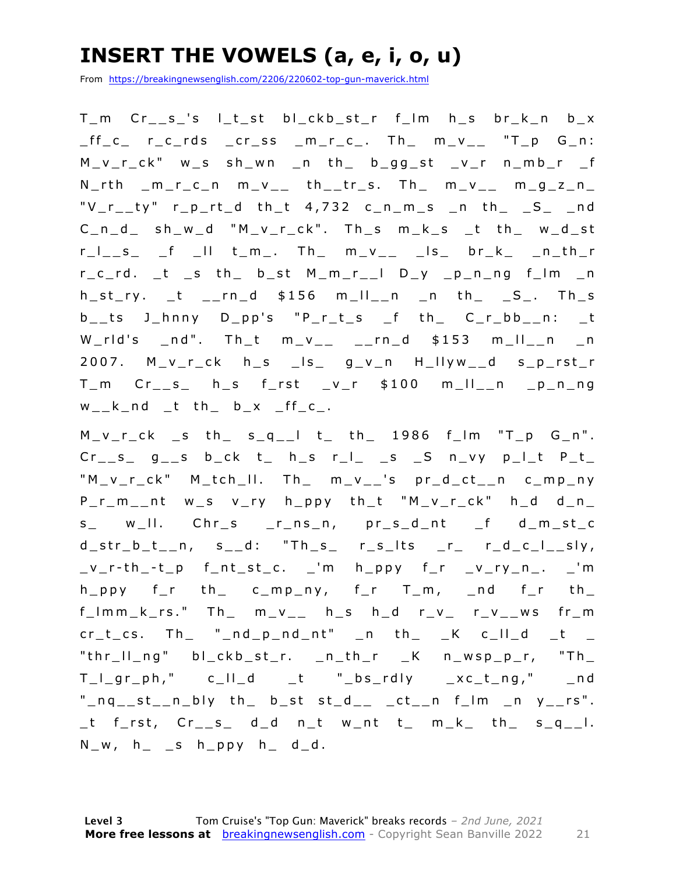### **INSERT THE VOWELS (a, e, i, o, u)**

From https://breakingnewsenglish.com/2206/220602-top-gun-maverick.html

T\_m Cr\_\_s\_'s l\_t\_st bl\_ckb\_st\_r f\_lm h\_s br\_k\_n b\_x  $_{\text{eff}_\text{c}}$  r\_c\_rds \_cr\_ss \_m\_r\_c\_. Th\_ m\_v\_\_ "T\_p G\_n: M\_v\_r\_ck" w\_s sh\_wn \_n th\_ b\_gg\_st \_v\_r n\_mb\_r \_f  $N_rth$   $m_r_c$ ,  $m_v$ ,  $t_{-1}$   $t_{-1}$   $t_{-1}$   $s$ . Th,  $m_v$ ,  $m_g$ ,  $m_g$ " $V_r$ \_ty" r\_p\_rt\_d th\_t 4,732 c\_n\_m\_s \_n th\_ \_S\_ \_nd C \_n\_d\_ sh\_w\_d "M\_v\_r\_ck". Th\_s m\_k\_s \_t th\_ w\_d\_st r\_l\_\_s\_ \_f \_ll t\_m\_. Th\_ m\_v\_\_ \_ls\_ br\_k\_ \_n\_th\_r r\_c\_rd. \_t \_s th\_ b\_st M\_m\_r\_\_l D\_y \_p\_n\_ng f\_lm \_n  $h_st_r$ ,  $t$   $_rnn_d$   $$156$   $m_ll_l$ n  $n_l$  th  $_s$  $b_$  ts J\_hnny D\_pp's "P\_r\_t\_s \_f th\_ C\_r\_bb\_\_n: \_t  $W_{r}$ rld's \_nd". Th\_t m\_v\_\_ \_\_rn\_d \$153 m\_ll\_\_n \_n 2007. M\_v\_r\_ck h\_s \_ls\_ g\_v\_n H\_llyw\_\_d s\_p\_rst\_r T\_m Cr\_\_s\_ h\_s f\_rst \_v\_r \$100 m\_ll\_\_n \_p\_n\_ng  $w_k - k_n$ nd  $t$  th  $b_k - x$   $ff_c$ .

 $M_v_r_r_c$ ck sth s<sub>q\_</sub>l t th 1986 f\_lm "T\_p G\_n".  $Cr_{--}s_{-}$  g<sub>--</sub>s b<sub>-</sub>ck t<sub>-</sub> h<sub>-</sub>s r<sub>-</sub>l<sub>-</sub> <sub>-</sub>s -S n<sub>-</sub>vy p<sub>-</sub>l<sub>-</sub>t P<sub>-</sub>t<sub>-</sub> "M\_v\_r\_ck" M\_tch\_ll. Th\_ m\_v\_\_'s pr\_d\_ct\_\_n c\_mp\_ny P\_r\_m\_\_nt w\_s v\_ry h\_ppy th\_t "M\_v\_r\_ck" h\_d d\_n\_ s\_ w\_II. Chr\_s \_r\_ns\_n, pr\_s\_d\_nt \_f d\_m\_st\_c  $d_{str_b}t_{n}$ n, s<sub>\_\_</sub>d: "Th\_s\_ r\_s\_lts \_r\_ r\_d\_c\_l\_\_sly,  $v_r-th_t-p$  f\_nt\_st\_c. \_'m h\_ppy f\_r \_v\_ry\_n\_. \_'m  $h\_ppy$  f\_r th\_ c\_mp\_ny, f\_r T\_m, \_nd f\_r th\_  $f_{\perp}$ lmm\_k\_rs." Th\_ m\_v\_\_ h\_s h\_d r\_v\_ r\_v\_\_ws fr\_m  $cr_t_c$ cs. Th\_ "\_nd\_p\_nd\_nt" \_n th\_ \_K c\_ll\_d \_t \_ "thr\_ll\_ng" bl\_ckb\_st\_r. \_n\_th\_r \_K n\_wsp\_p\_r, "Th\_  $T_l = g r_l$ ph," c\_II\_d \_t "\_bs\_rdly \_xc\_t\_ng," \_nd  $"_nq_st_nn_bly$  th $_ b_sst$  st $_d_ - _ct_n$  f $\lfloor m_n \rfloor$  y $\lfloor rs^n \rfloor$ . \_t f\_rst, Cr\_\_s\_ d\_d n\_t w\_nt t\_ m\_k\_ th\_ s\_q\_\_l.  $N_{-}w$ ,  $h_{-}$   $\leq$   $h_{-}ppy$   $h_{-}$   $d_{-}d$ .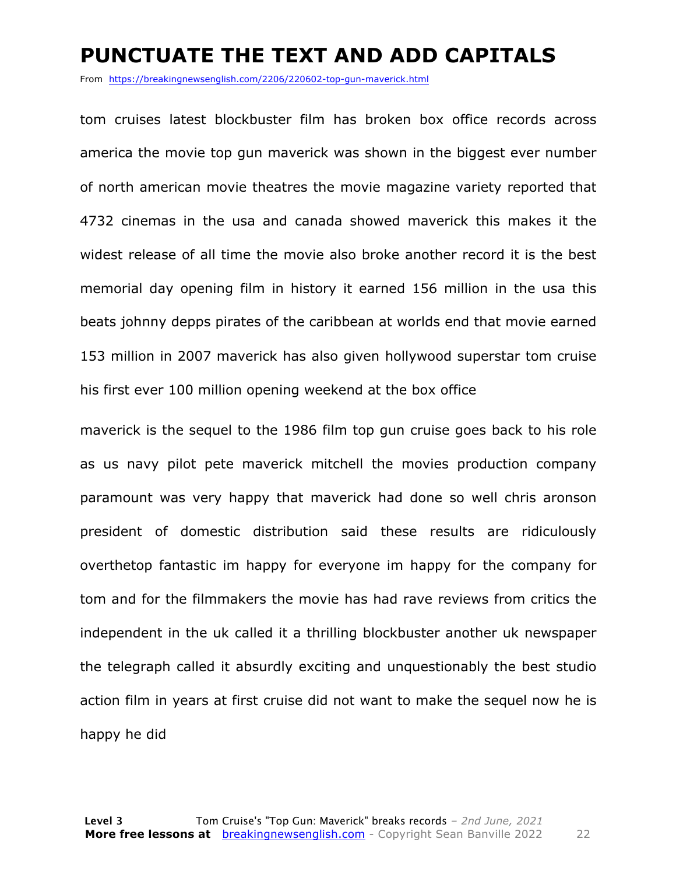### **PUNCTUATE THE TEXT AND ADD CAPITALS**

From https://breakingnewsenglish.com/2206/220602-top-gun-maverick.html

tom cruises latest blockbuster film has broken box office records across america the movie top gun maverick was shown in the biggest ever number of north american movie theatres the movie magazine variety reported that 4732 cinemas in the usa and canada showed maverick this makes it the widest release of all time the movie also broke another record it is the best memorial day opening film in history it earned 156 million in the usa this beats johnny depps pirates of the caribbean at worlds end that movie earned 153 million in 2007 maverick has also given hollywood superstar tom cruise his first ever 100 million opening weekend at the box office

maverick is the sequel to the 1986 film top gun cruise goes back to his role as us navy pilot pete maverick mitchell the movies production company paramount was very happy that maverick had done so well chris aronson president of domestic distribution said these results are ridiculously overthetop fantastic im happy for everyone im happy for the company for tom and for the filmmakers the movie has had rave reviews from critics the independent in the uk called it a thrilling blockbuster another uk newspaper the telegraph called it absurdly exciting and unquestionably the best studio action film in years at first cruise did not want to make the sequel now he is happy he did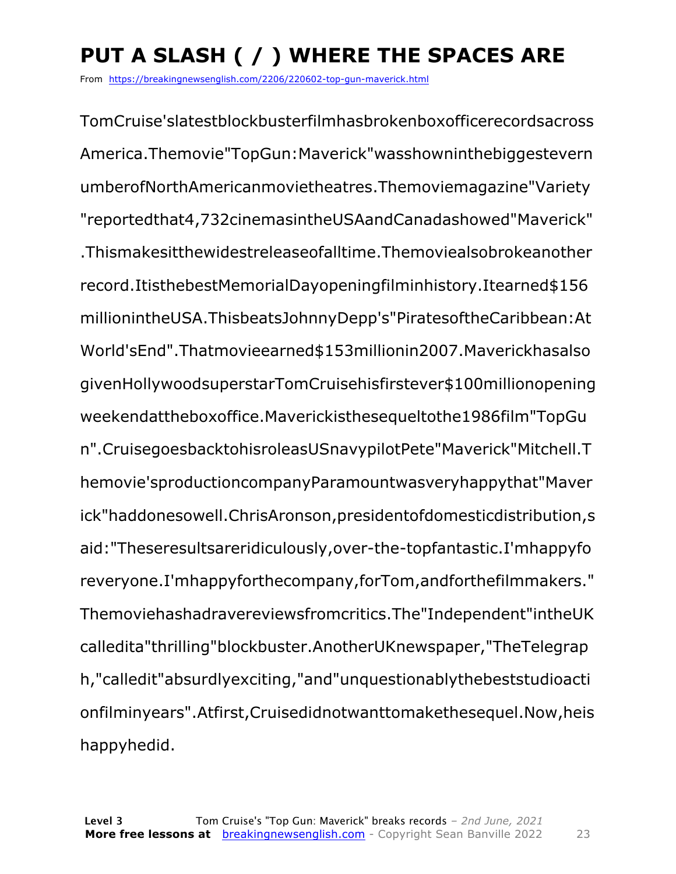## **PUT A SLASH ( / ) WHERE THE SPACES ARE**

From https://breakingnewsenglish.com/2206/220602-top-gun-maverick.html

TomCruise'slatestblockbusterfilmhasbrokenboxofficerecordsacross America.Themovie"TopGun:Maverick"wasshowninthebiggestevern umberofNorthAmericanmovietheatres.Themoviemagazine"Variety "reportedthat4,732cinemasintheUSAandCanadashowed"Maverick" .Thismakesitthewidestreleaseofalltime.Themoviealsobrokeanother record.ItisthebestMemorialDayopeningfilminhistory.Itearned\$156 millionintheUSA.ThisbeatsJohnnyDepp's"PiratesoftheCaribbean:At World'sEnd".Thatmovieearned\$153millionin2007.Maverickhasalso givenHollywoodsuperstarTomCruisehisfirstever\$100millionopening weekendattheboxoffice.Maverickisthesequeltothe1986film"TopGu n".CruisegoesbacktohisroleasUSnavypilotPete"Maverick"Mitchell.T hemovie'sproductioncompanyParamountwasveryhappythat"Maver ick"haddonesowell.ChrisAronson,presidentofdomesticdistribution,s aid:"Theseresultsareridiculously,over-the-topfantastic.I'mhappyfo reveryone.I'mhappyforthecompany,forTom,andforthefilmmakers." Themoviehashadravereviewsfromcritics.The"Independent"intheUK calledita"thrilling"blockbuster.AnotherUKnewspaper,"TheTelegrap h,"calledit"absurdlyexciting,"and"unquestionablythebeststudioacti onfilminyears".Atfirst,Cruisedidnotwanttomakethesequel.Now,heis happyhedid.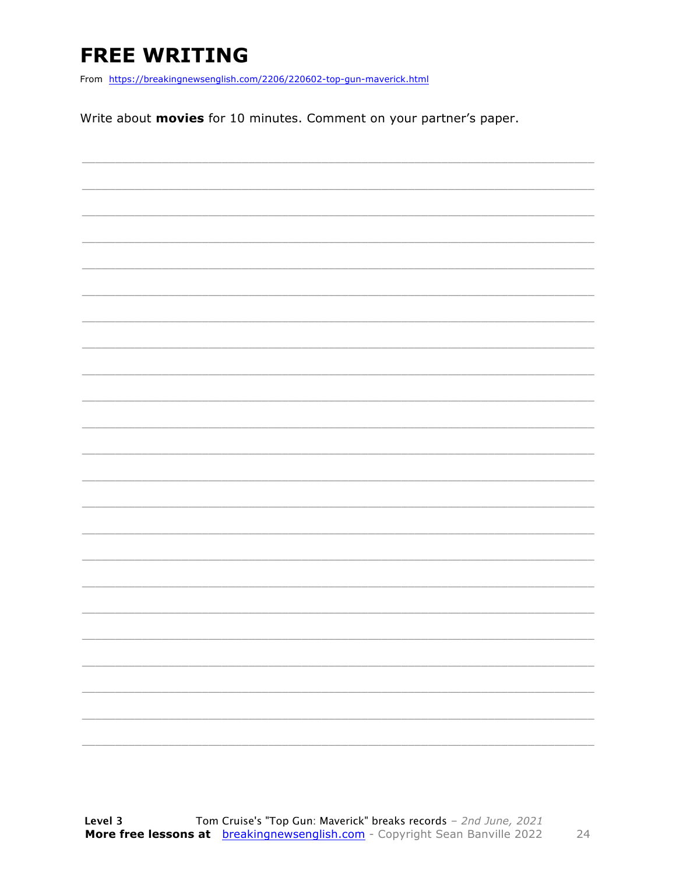### **FREE WRITING**

From https://breakingnewsenglish.com/2206/220602-top-gun-maverick.html

Write about movies for 10 minutes. Comment on your partner's paper.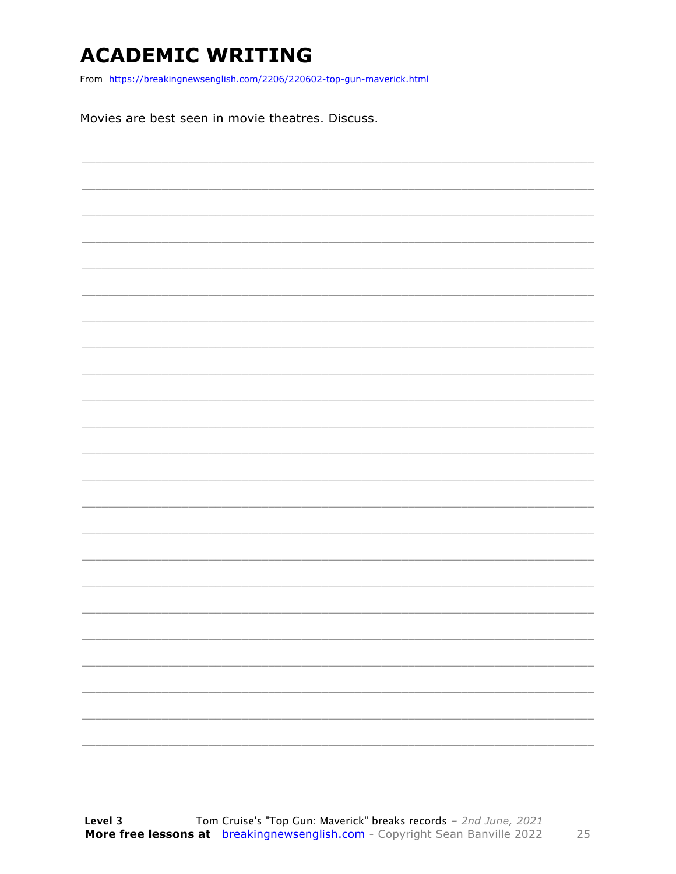### **ACADEMIC WRITING**

From https://breakingnewsenglish.com/2206/220602-top-gun-maverick.html

Movies are best seen in movie theatres. Discuss.

25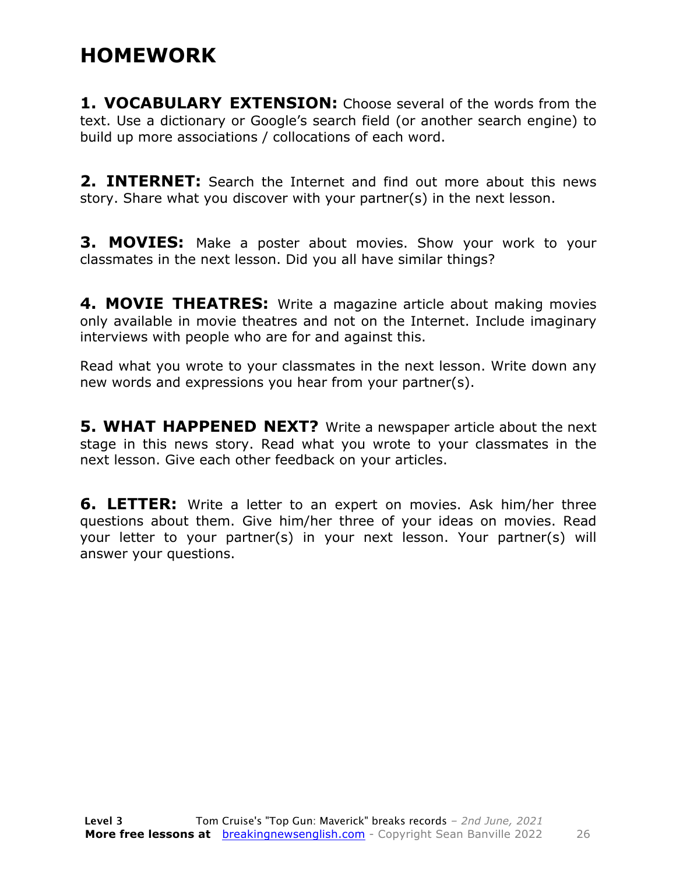### **HOMEWORK**

**1. VOCABULARY EXTENSION:** Choose several of the words from the text. Use a dictionary or Google's search field (or another search engine) to build up more associations / collocations of each word.

**2. INTERNET:** Search the Internet and find out more about this news story. Share what you discover with your partner(s) in the next lesson.

**3. MOVIES:** Make a poster about movies. Show your work to your classmates in the next lesson. Did you all have similar things?

**4. MOVIE THEATRES:** Write a magazine article about making movies only available in movie theatres and not on the Internet. Include imaginary interviews with people who are for and against this.

Read what you wrote to your classmates in the next lesson. Write down any new words and expressions you hear from your partner(s).

**5. WHAT HAPPENED NEXT?** Write a newspaper article about the next stage in this news story. Read what you wrote to your classmates in the next lesson. Give each other feedback on your articles.

**6. LETTER:** Write a letter to an expert on movies. Ask him/her three questions about them. Give him/her three of your ideas on movies. Read your letter to your partner(s) in your next lesson. Your partner(s) will answer your questions.